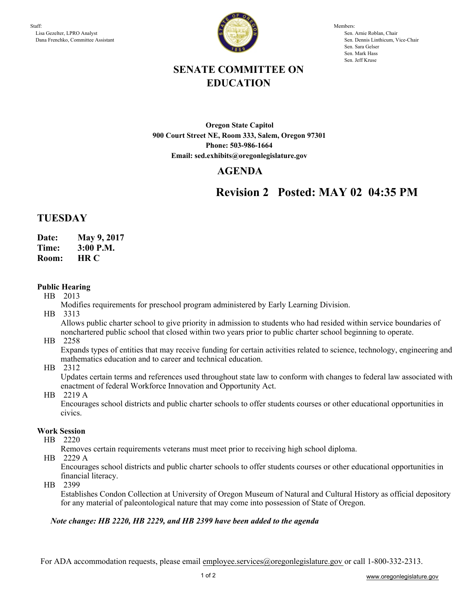

Members: Sen. Arnie Roblan, Chair Sen. Dennis Linthicum, Vice-Chair Sen. Sara Gelser Sen. Mark Hass Sen. Jeff Kruse

# **SENATE COMMITTEE ON EDUCATION**

**Oregon State Capitol 900 Court Street NE, Room 333, Salem, Oregon 97301 Phone: 503-986-1664 Email: sed.exhibits@oregonlegislature.gov**

## **AGENDA**

# **Revision 2 Posted: MAY 02 04:35 PM**

## **TUESDAY**

- **Date: May 9, 2017**
- **Time: 3:00 P.M.**
- **HR C Room:**

## **Public Hearing**

- HB 2013
	- Modifies requirements for preschool program administered by Early Learning Division.
- HB 3313

Allows public charter school to give priority in admission to students who had resided within service boundaries of nonchartered public school that closed within two years prior to public charter school beginning to operate.

HB 2258

Expands types of entities that may receive funding for certain activities related to science, technology, engineering and mathematics education and to career and technical education.

HB 2312

Updates certain terms and references used throughout state law to conform with changes to federal law associated with enactment of federal Workforce Innovation and Opportunity Act.

HB 2219 A

Encourages school districts and public charter schools to offer students courses or other educational opportunities in civics.

### **Work Session**

HB 2220

Removes certain requirements veterans must meet prior to receiving high school diploma.

HB 2229 A

Encourages school districts and public charter schools to offer students courses or other educational opportunities in financial literacy.

HB 2399

Establishes Condon Collection at University of Oregon Museum of Natural and Cultural History as official depository for any material of paleontological nature that may come into possession of State of Oregon.

### *Note change: HB 2220, HB 2229, and HB 2399 have been added to the agenda*

For ADA accommodation requests, please email employee.services@oregonlegislature.gov or call 1-800-332-2313.